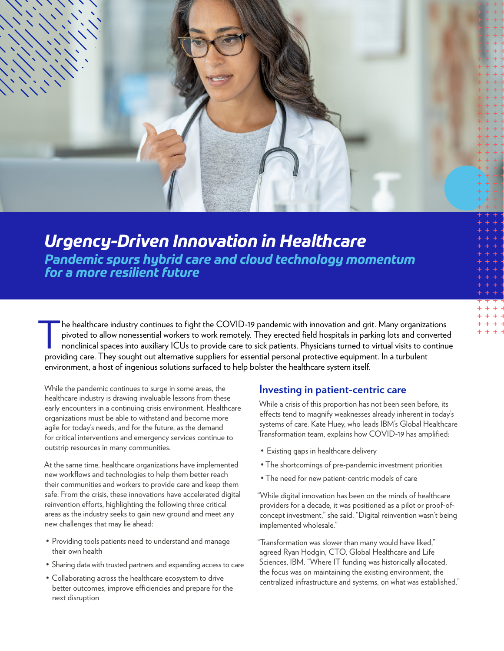

*Urgency-Driven Innovation in Healthcare Pandemic spurs hybrid care and cloud technology momentum for a more resilient future*

The healthcare industry continues to fight the COVID-19 pandemic with innovation and grit. Many organizations<br>pivoted to allow nonessential workers to work remotely. They erected field hospitals in parking lots and convert pivoted to allow nonessential workers to work remotely. They erected field hospitals in parking lots and converted nonclinical spaces into auxiliary ICUs to provide care to sick patients. Physicians turned to virtual visits to continue providing care. They sought out alternative suppliers for essential personal protective equipment. In a turbulent environment, a host of ingenious solutions surfaced to help bolster the healthcare system itself.

While the pandemic continues to surge in some areas, the healthcare industry is drawing invaluable lessons from these early encounters in a continuing crisis environment. Healthcare organizations must be able to withstand and become more agile for today's needs, and for the future, as the demand for critical interventions and emergency services continue to outstrip resources in many communities.

At the same time, healthcare organizations have implemented new workflows and technologies to help them better reach their communities and workers to provide care and keep them safe. From the crisis, these innovations have accelerated digital reinvention efforts, highlighting the following three critical areas as the industry seeks to gain new ground and meet any new challenges that may lie ahead:

- Providing tools patients need to understand and manage their own health
- Sharing data with trusted partners and expanding access to care
- Collaborating across the healthcare ecosystem to drive better outcomes, improve efficiencies and prepare for the next disruption

### **Investing in patient-centric care**

While a crisis of this proportion has not been seen before, its effects tend to magnify weaknesses already inherent in today's systems of care. Kate Huey, who leads IBM's Global Healthcare Transformation team, explains how COVID-19 has amplified:

- Existing gaps in healthcare delivery
- The shortcomings of pre-pandemic investment priorities
- The need for new patient-centric models of care

"While digital innovation has been on the minds of healthcare providers for a decade, it was positioned as a pilot or proof-ofconcept investment," she said. "Digital reinvention wasn't being implemented wholesale."

"Transformation was slower than many would have liked," agreed Ryan Hodgin, CTO, Global Healthcare and Life Sciences, IBM. "Where IT funding was historically allocated, the focus was on maintaining the existing environment, the centralized infrastructure and systems, on what was established."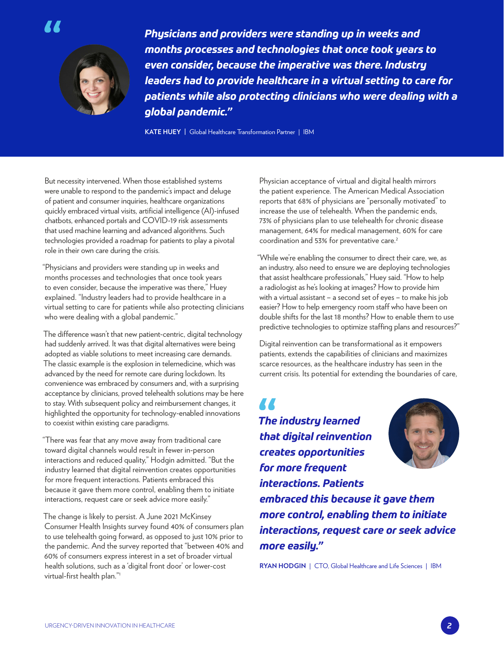



*Physicians and providers were standing up in weeks and months processes and technologies that once took years to even consider, because the imperative was there. Industry leaders had to provide healthcare in a virtual setting to care for patients while also protecting clinicians who were dealing with a global pandemic."*

**KATE HUEY |** Global Healthcare Transformation Partner | IBM

But necessity intervened. When those established systems were unable to respond to the pandemic's impact and deluge of patient and consumer inquiries, healthcare organizations quickly embraced virtual visits, artificial intelligence (AI)-infused chatbots, enhanced portals and COVID-19 risk assessments that used machine learning and advanced algorithms. Such technologies provided a roadmap for patients to play a pivotal role in their own care during the crisis.

"Physicians and providers were standing up in weeks and months processes and technologies that once took years to even consider, because the imperative was there," Huey explained. "Industry leaders had to provide healthcare in a virtual setting to care for patients while also protecting clinicians who were dealing with a global pandemic."

The difference wasn't that new patient-centric, digital technology had suddenly arrived. It was that digital alternatives were being adopted as viable solutions to meet increasing care demands. The classic example is the explosion in telemedicine, which was advanced by the need for remote care during lockdown. Its convenience was embraced by consumers and, with a surprising acceptance by clinicians, proved telehealth solutions may be here to stay. With subsequent policy and reimbursement changes, it highlighted the opportunity for technology-enabled innovations to coexist within existing care paradigms.

"There was fear that any move away from traditional care toward digital channels would result in fewer in-person interactions and reduced quality," Hodgin admitted. "But the industry learned that digital reinvention creates opportunities for more frequent interactions. Patients embraced this because it gave them more control, enabling them to initiate interactions, request care or seek advice more easily."

The change is likely to persist. A June 2021 McKinsey Consumer Health Insights survey found 40% of consumers plan to use telehealth going forward, as opposed to just 10% prior to the pandemic. And the survey reported that "between 40% and 60% of consumers express interest in a set of broader virtual health solutions, such as a 'digital front door' or lower-cost virtual-first health plan."1

Physician acceptance of virtual and digital health mirrors the patient experience. The American Medical Association reports that 68% of physicians are "personally motivated" to increase the use of telehealth. When the pandemic ends, 73% of physicians plan to use telehealth for chronic disease management, 64% for medical management, 60% for care coordination and 53% for preventative care.<sup>2</sup>

"While we're enabling the consumer to direct their care, we, as an industry, also need to ensure we are deploying technologies that assist healthcare professionals," Huey said. "How to help a radiologist as he's looking at images? How to provide him with a virtual assistant – a second set of eyes – to make his job easier? How to help emergency room staff who have been on double shifts for the last 18 months? How to enable them to use predictive technologies to optimize staffing plans and resources?"

Digital reinvention can be transformational as it empowers patients, extends the capabilities of clinicians and maximizes scarce resources, as the healthcare industry has seen in the current crisis. Its potential for extending the boundaries of care,

**A A** *The industry learned that digital reinvention creates opportunities for more frequent interactions. Patients* 



*embraced this because it gave them more control, enabling them to initiate interactions, request care or seek advice more easily."*

**RYAN HODGIN** | CTO, Global Healthcare and Life Sciences | IBM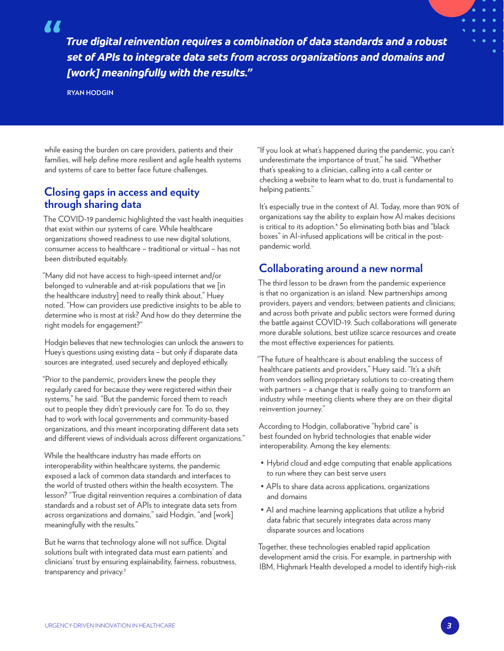77

*True digital reinvention requires a combination of data standards and a robust set of APIs to integrate data sets from across organizations and domains and [work] meaningfully with the results."*

**RYAN HODGIN**

while easing the burden on care providers, patients and their families, will help define more resilient and agile health systems and systems of care to better face future challenges.

## **Closing gaps in access and equity through sharing data**

The COVID-19 pandemic highlighted the vast health inequities that exist within our systems of care. While healthcare organizations showed readiness to use new digital solutions, consumer access to healthcare – traditional or virtual – has not been distributed equitably.

"Many did not have access to high-speed internet and/or belonged to vulnerable and at-risk populations that we [in the healthcare industry] need to really think about," Huey noted. "How can providers use predictive insights to be able to determine who is most at risk? And how do they determine the right models for engagement?"

Hodgin believes that new technologies can unlock the answers to Huey's questions using existing data – but only if disparate data sources are integrated, used securely and deployed ethically.

"Prior to the pandemic, providers knew the people they regularly cared for because they were registered within their systems," he said. "But the pandemic forced them to reach out to people they didn't previously care for. To do so, they had to work with local governments and community-based organizations, and this meant incorporating different data sets and different views of individuals across different organizations."

While the healthcare industry has made efforts on interoperability within healthcare systems, the pandemic exposed a lack of common data standards and interfaces to the world of trusted others within the health ecosystem. The lesson? "True digital reinvention requires a combination of data standards and a robust set of APIs to integrate data sets from across organizations and domains," said Hodgin, "and [work] meaningfully with the results."

But he warns that technology alone will not suffice. Digital solutions built with integrated data must earn patients' and clinicians' trust by ensuring explainability, fairness, robustness, transparency and privacy.<sup>3</sup>

"If you look at what's happened during the pandemic, you can't underestimate the importance of trust," he said. "Whether that's speaking to a clinician, calling into a call center or checking a website to learn what to do, trust is fundamental to helping patients."

It's especially true in the context of AI. Today, more than 90% of organizations say the ability to explain how AI makes decisions is critical to its adoption.4 So eliminating both bias and "black boxes" in AI-infused applications will be critical in the postpandemic world.

# **Collaborating around a new normal**

The third lesson to be drawn from the pandemic experience is that no organization is an island. New partnerships among providers, payers and vendors; between patients and clinicians; and across both private and public sectors were formed during the battle against COVID-19. Such collaborations will generate more durable solutions, best utilize scarce resources and create the most effective experiences for patients.

"The future of healthcare is about enabling the success of healthcare patients and providers," Huey said. "It's a shift from vendors selling proprietary solutions to co-creating them with partners – a change that is really going to transform an industry while meeting clients where they are on their digital reinvention journey."

According to Hodgin, collaborative "hybrid care" is best founded on hybrid technologies that enable wider interoperability. Among the key elements:

- Hybrid cloud and edge computing that enable applications to run where they can best serve users
- APIs to share data across applications, organizations and domains
- AI and machine learning applications that utilize a hybrid data fabric that securely integrates data across many disparate sources and locations

Together, these technologies enabled rapid application development amid the crisis. For example, in partnership with IBM, Highmark Health developed a model to identify high-risk